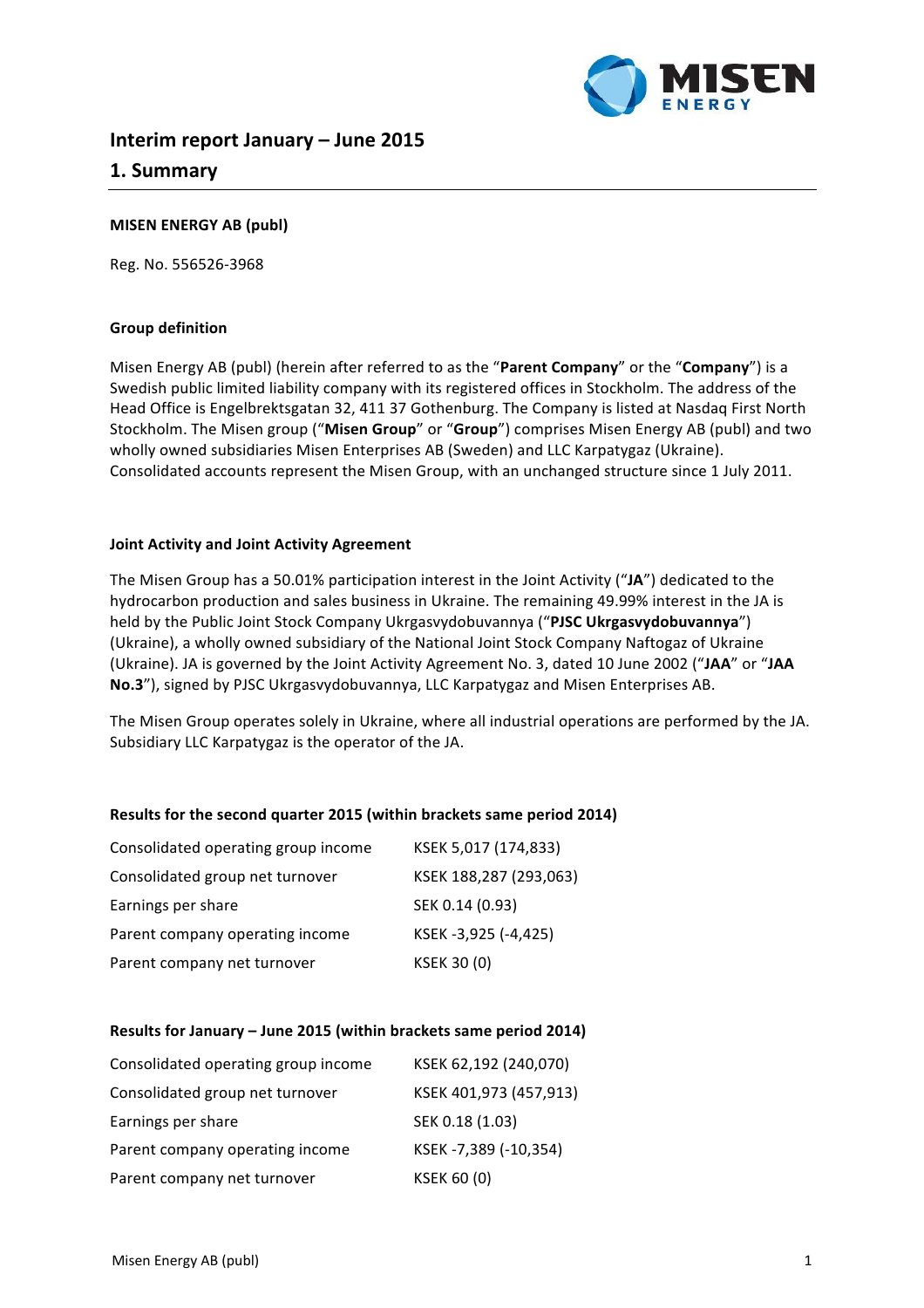

# **Interim report January – June 2015 1. Summary**

## **MISEN ENERGY AB (publ)**

Reg. No. 556526-3968

## **Group definition**

Misen Energy AB (publ) (herein after referred to as the "**Parent Company**" or the "**Company**") is a Swedish public limited liability company with its registered offices in Stockholm. The address of the Head Office is Engelbrektsgatan 32, 411 37 Gothenburg. The Company is listed at Nasdaq First North Stockholm. The Misen group ("Misen Group" or "Group") comprises Misen Energy AB (publ) and two wholly owned subsidiaries Misen Enterprises AB (Sweden) and LLC Karpatygaz (Ukraine). Consolidated accounts represent the Misen Group, with an unchanged structure since 1 July 2011.

## **Joint Activity and Joint Activity Agreement**

The Misen Group has a 50.01% participation interest in the Joint Activity ("JA") dedicated to the hydrocarbon production and sales business in Ukraine. The remaining 49.99% interest in the JA is held by the Public Joint Stock Company Ukrgasvydobuvannya ("PJSC Ukrgasvydobuvannya") (Ukraine), a wholly owned subsidiary of the National Joint Stock Company Naftogaz of Ukraine (Ukraine). JA is governed by the Joint Activity Agreement No. 3, dated 10 June 2002 ("JAA" or "JAA No.3"), signed by PJSC Ukrgasvydobuvannya, LLC Karpatygaz and Misen Enterprises AB.

The Misen Group operates solely in Ukraine, where all industrial operations are performed by the JA. Subsidiary LLC Karpatygaz is the operator of the JA.

## **Results for the second quarter 2015 (within brackets same period 2014)**

| Consolidated operating group income | KSEK 5,017 (174,833)   |
|-------------------------------------|------------------------|
| Consolidated group net turnover     | KSEK 188,287 (293,063) |
| Earnings per share                  | SEK 0.14 (0.93)        |
| Parent company operating income     | KSEK-3,925 (-4,425)    |
| Parent company net turnover         | <b>KSEK 30 (0)</b>     |

#### **Results for January – June 2015 (within brackets same period 2014)**

| Consolidated operating group income | KSEK 62,192 (240,070)  |
|-------------------------------------|------------------------|
| Consolidated group net turnover     | KSEK 401,973 (457,913) |
| Earnings per share                  | SEK 0.18 (1.03)        |
| Parent company operating income     | KSEK-7,389 (-10,354)   |
| Parent company net turnover         | <b>KSEK 60 (0)</b>     |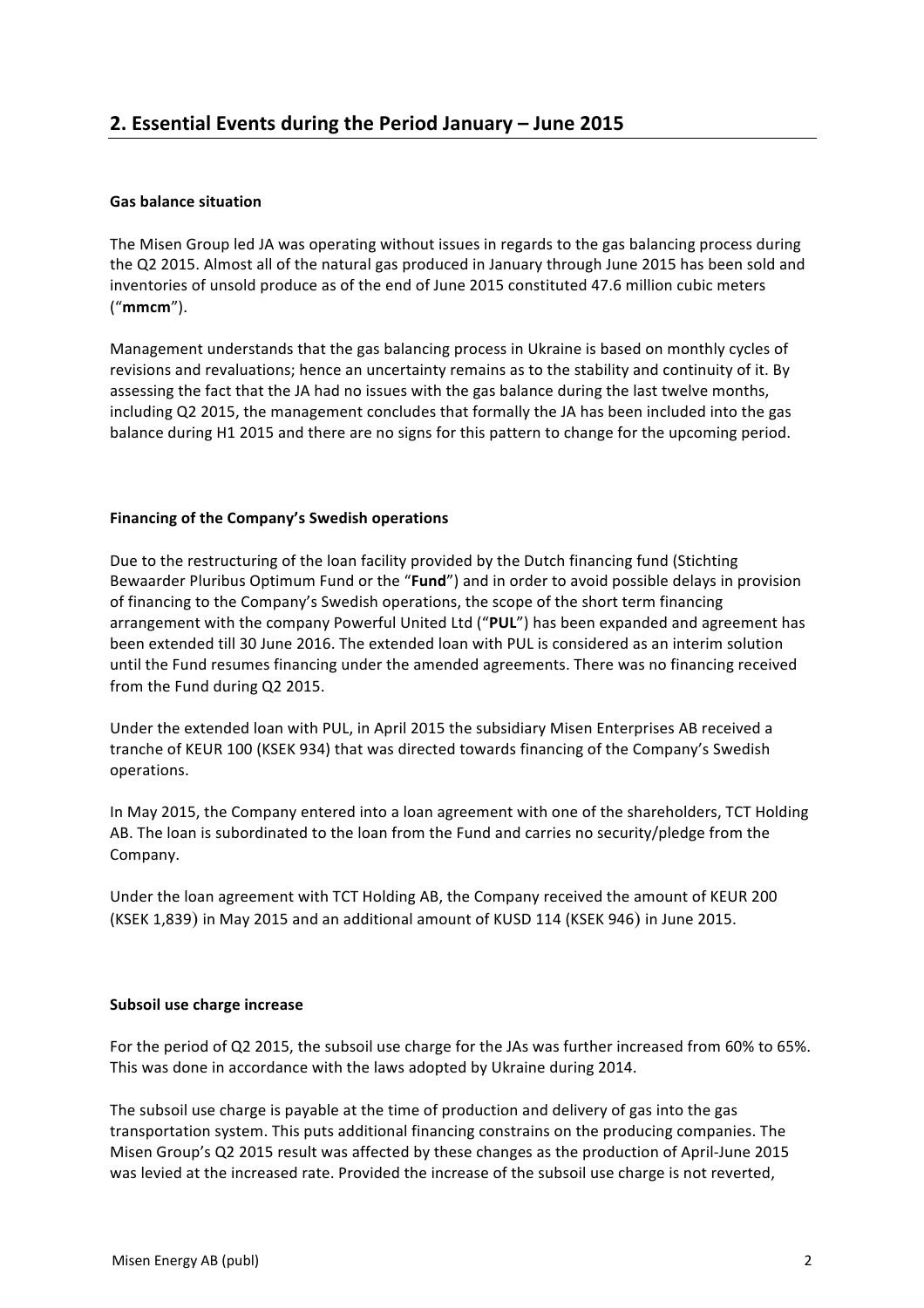## **Gas balance situation**

The Misen Group led JA was operating without issues in regards to the gas balancing process during the Q2 2015. Almost all of the natural gas produced in January through June 2015 has been sold and inventories of unsold produce as of the end of June 2015 constituted 47.6 million cubic meters ("**mmcm**"). 

Management understands that the gas balancing process in Ukraine is based on monthly cycles of revisions and revaluations; hence an uncertainty remains as to the stability and continuity of it. By assessing the fact that the JA had no issues with the gas balance during the last twelve months, including Q2 2015, the management concludes that formally the JA has been included into the gas balance during H1 2015 and there are no signs for this pattern to change for the upcoming period.

## **Financing of the Company's Swedish operations**

Due to the restructuring of the loan facility provided by the Dutch financing fund (Stichting Bewaarder Pluribus Optimum Fund or the "**Fund**") and in order to avoid possible delays in provision of financing to the Company's Swedish operations, the scope of the short term financing arrangement with the company Powerful United Ltd ("PUL") has been expanded and agreement has been extended till 30 June 2016. The extended loan with PUL is considered as an interim solution until the Fund resumes financing under the amended agreements. There was no financing received from the Fund during Q2 2015.

Under the extended loan with PUL, in April 2015 the subsidiary Misen Enterprises AB received a tranche of KEUR 100 (KSEK 934) that was directed towards financing of the Company's Swedish operations.

In May 2015, the Company entered into a loan agreement with one of the shareholders, TCT Holding AB. The loan is subordinated to the loan from the Fund and carries no security/pledge from the Company. 

Under the loan agreement with TCT Holding AB, the Company received the amount of KEUR 200 (KSEK 1,839) in May 2015 and an additional amount of KUSD 114 (KSEK 946) in June 2015.

## **Subsoil use charge increase**

For the period of Q2 2015, the subsoil use charge for the JAs was further increased from 60% to 65%. This was done in accordance with the laws adopted by Ukraine during 2014.

The subsoil use charge is payable at the time of production and delivery of gas into the gas transportation system. This puts additional financing constrains on the producing companies. The Misen Group's Q2 2015 result was affected by these changes as the production of April-June 2015 was levied at the increased rate. Provided the increase of the subsoil use charge is not reverted,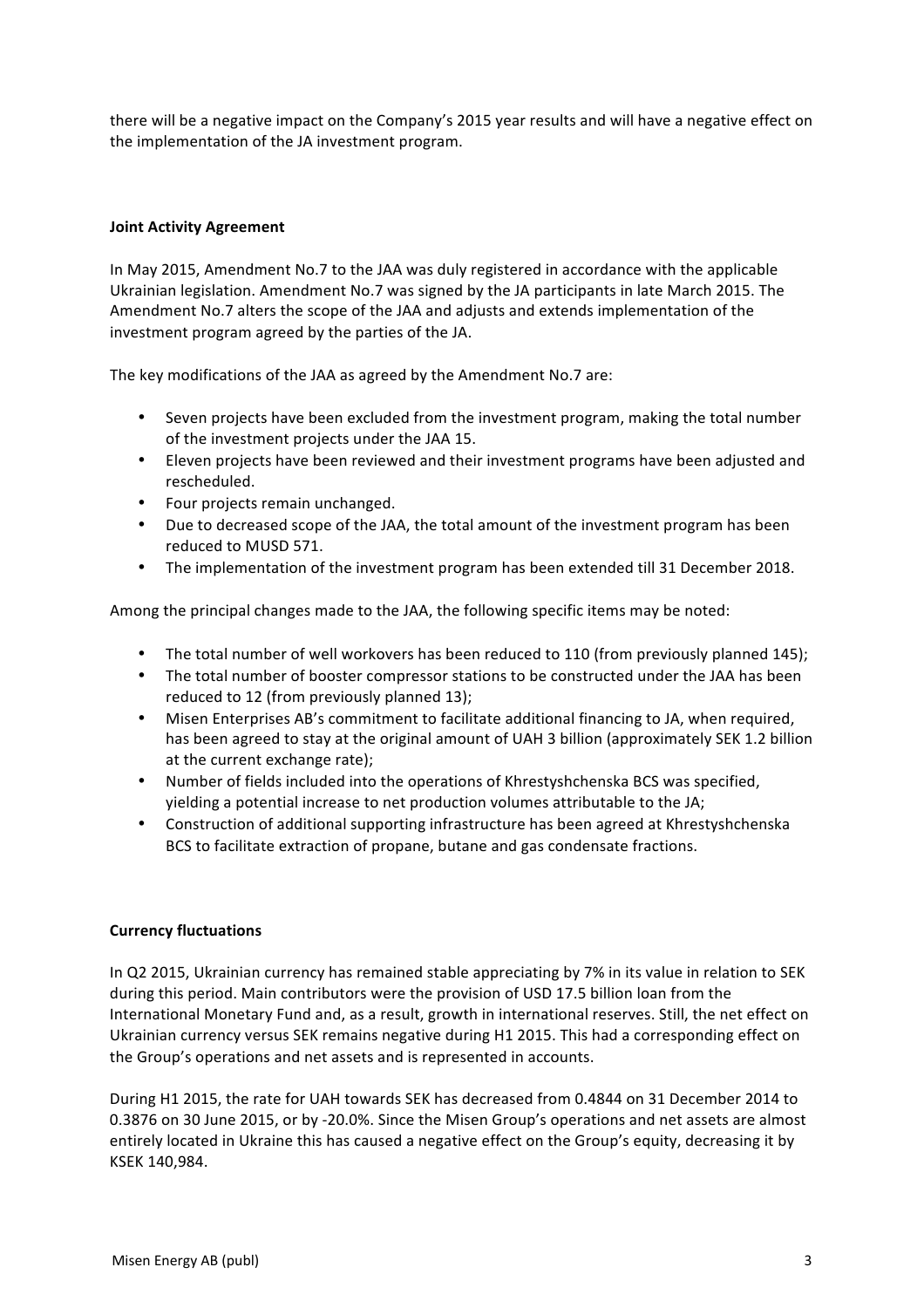there will be a negative impact on the Company's 2015 year results and will have a negative effect on the implementation of the JA investment program.

## **Joint Activity Agreement**

In May 2015, Amendment No.7 to the JAA was duly registered in accordance with the applicable Ukrainian legislation. Amendment No.7 was signed by the JA participants in late March 2015. The Amendment No.7 alters the scope of the JAA and adjusts and extends implementation of the investment program agreed by the parties of the JA.

The key modifications of the JAA as agreed by the Amendment No.7 are:

- Seven projects have been excluded from the investment program, making the total number of the investment projects under the JAA 15.
- Eleven projects have been reviewed and their investment programs have been adjusted and rescheduled.
- Four projects remain unchanged.
- Due to decreased scope of the JAA, the total amount of the investment program has been reduced to MUSD 571.
- The implementation of the investment program has been extended till 31 December 2018.

Among the principal changes made to the JAA, the following specific items may be noted:

- The total number of well workovers has been reduced to 110 (from previously planned 145);
- The total number of booster compressor stations to be constructed under the JAA has been reduced to 12 (from previously planned 13);
- Misen Enterprises AB's commitment to facilitate additional financing to JA, when required, has been agreed to stay at the original amount of UAH 3 billion (approximately SEK 1.2 billion at the current exchange rate);
- Number of fields included into the operations of Khrestyshchenska BCS was specified, yielding a potential increase to net production volumes attributable to the JA;
- Construction of additional supporting infrastructure has been agreed at Khrestyshchenska BCS to facilitate extraction of propane, butane and gas condensate fractions.

## **Currency fluctuations**

In Q2 2015, Ukrainian currency has remained stable appreciating by 7% in its value in relation to SEK during this period. Main contributors were the provision of USD 17.5 billion loan from the International Monetary Fund and, as a result, growth in international reserves. Still, the net effect on Ukrainian currency versus SEK remains negative during H1 2015. This had a corresponding effect on the Group's operations and net assets and is represented in accounts.

During H1 2015, the rate for UAH towards SEK has decreased from 0.4844 on 31 December 2014 to 0.3876 on 30 June 2015, or by -20.0%. Since the Misen Group's operations and net assets are almost entirely located in Ukraine this has caused a negative effect on the Group's equity, decreasing it by KSEK 140,984.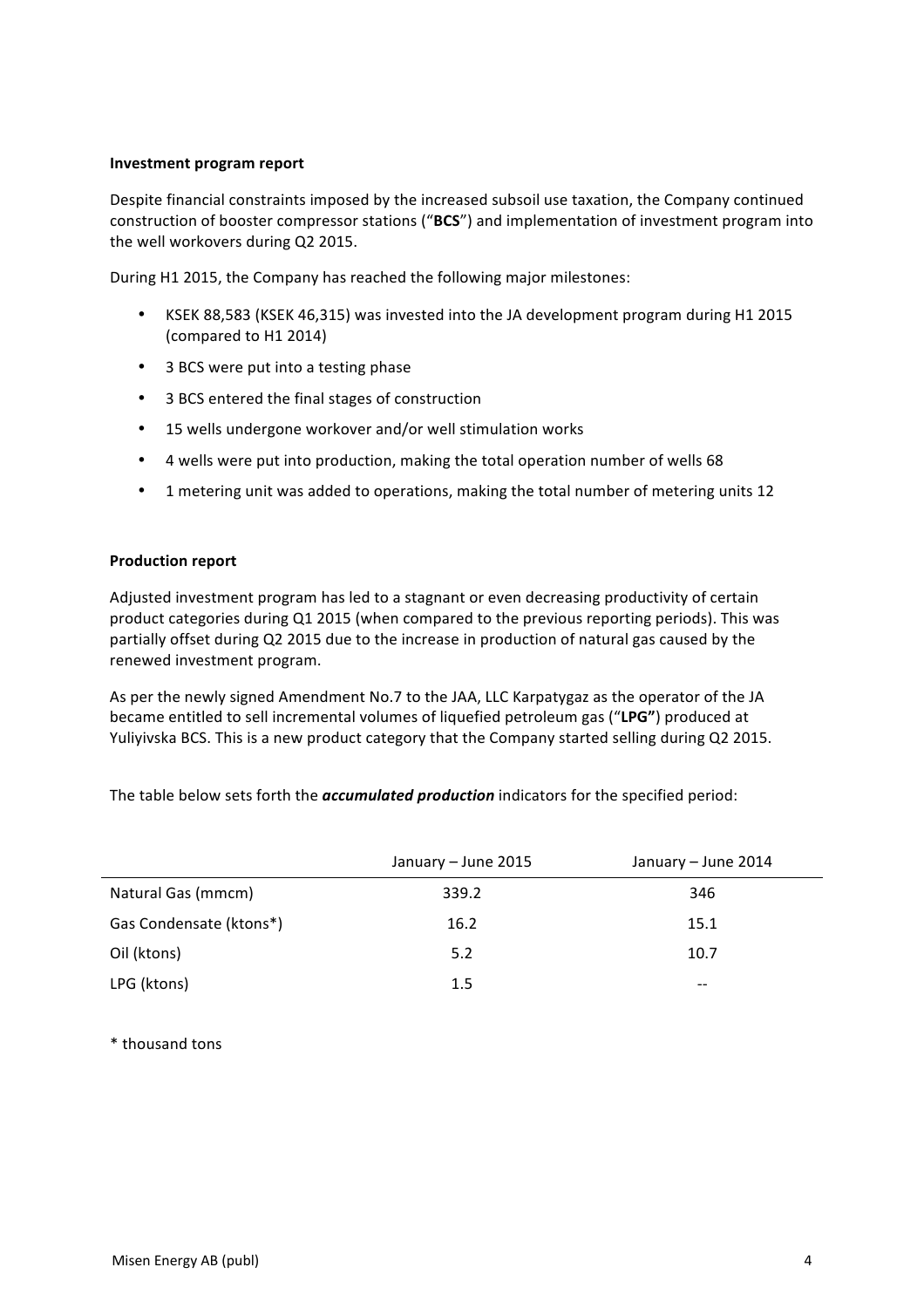#### **Investment program report**

Despite financial constraints imposed by the increased subsoil use taxation, the Company continued construction of booster compressor stations ("BCS") and implementation of investment program into the well workovers during Q2 2015.

During H1 2015, the Company has reached the following major milestones:

- KSEK 88,583 (KSEK 46,315) was invested into the JA development program during H1 2015 (compared to H1 2014)
- 3 BCS were put into a testing phase
- 3 BCS entered the final stages of construction
- 15 wells undergone workover and/or well stimulation works
- 4 wells were put into production, making the total operation number of wells 68
- 1 metering unit was added to operations, making the total number of metering units 12

## **Production report**

Adjusted investment program has led to a stagnant or even decreasing productivity of certain product categories during Q1 2015 (when compared to the previous reporting periods). This was partially offset during Q2 2015 due to the increase in production of natural gas caused by the renewed investment program.

As per the newly signed Amendment No.7 to the JAA, LLC Karpatygaz as the operator of the JA became entitled to sell incremental volumes of liquefied petroleum gas ("LPG") produced at Yuliyivska BCS. This is a new product category that the Company started selling during Q2 2015.

The table below sets forth the **accumulated production** indicators for the specified period:

|                         | January – June 2015 | January – June 2014 |
|-------------------------|---------------------|---------------------|
| Natural Gas (mmcm)      | 339.2               | 346                 |
| Gas Condensate (ktons*) | 16.2                | 15.1                |
| Oil (ktons)             | 5.2                 | 10.7                |
| LPG (ktons)             | 1.5                 | $- -$               |

\* thousand tons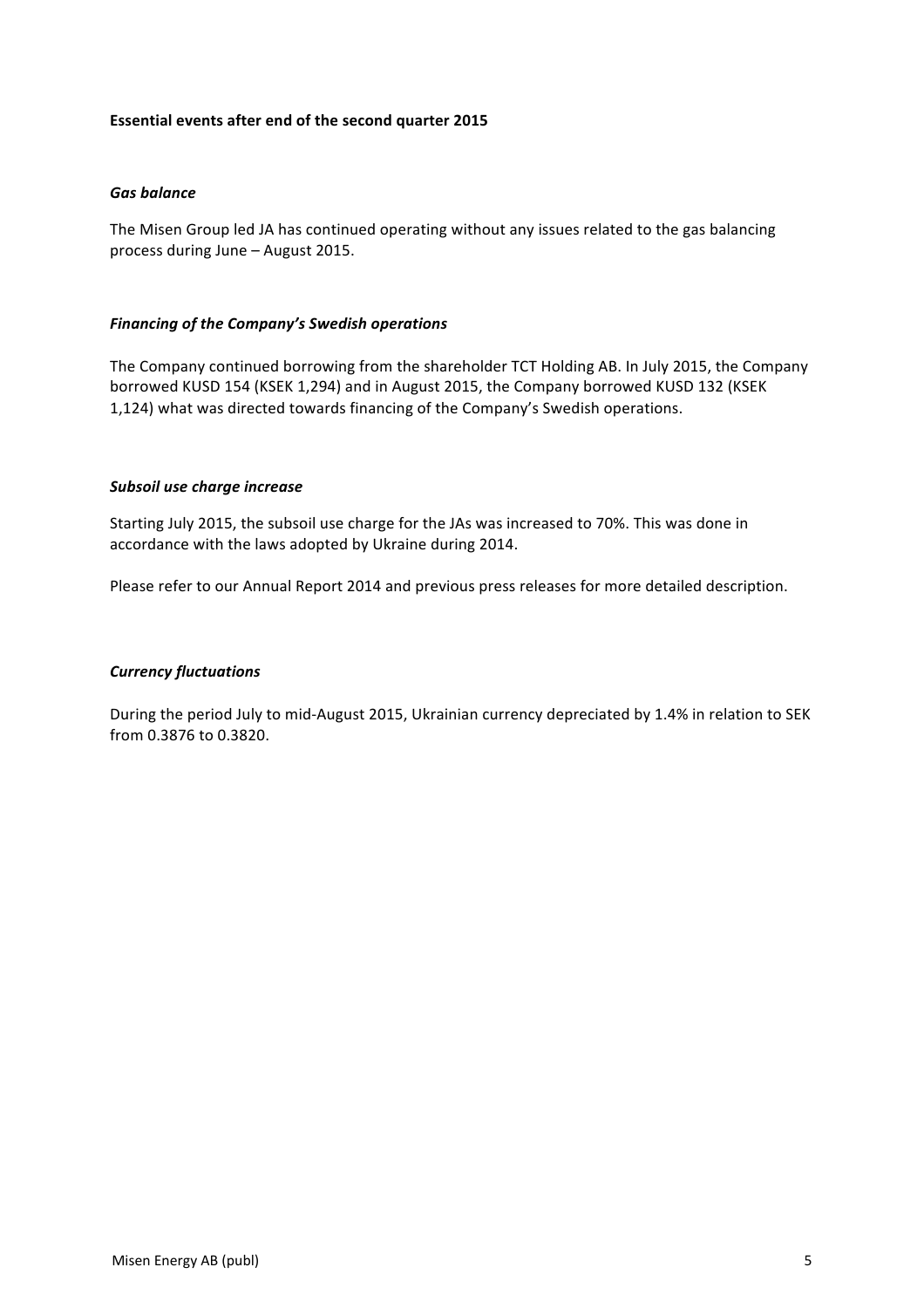## **Essential events after end of the second quarter 2015**

#### *Gas balance*

The Misen Group led JA has continued operating without any issues related to the gas balancing process during June - August 2015.

#### *Financing of the Company's Swedish operations*

The Company continued borrowing from the shareholder TCT Holding AB. In July 2015, the Company borrowed KUSD 154 (KSEK 1,294) and in August 2015, the Company borrowed KUSD 132 (KSEK 1,124) what was directed towards financing of the Company's Swedish operations.

#### *Subsoil use charge increase*

Starting July 2015, the subsoil use charge for the JAs was increased to 70%. This was done in accordance with the laws adopted by Ukraine during 2014.

Please refer to our Annual Report 2014 and previous press releases for more detailed description.

## *Currency fluctuations*

During the period July to mid-August 2015, Ukrainian currency depreciated by 1.4% in relation to SEK from 0.3876 to 0.3820.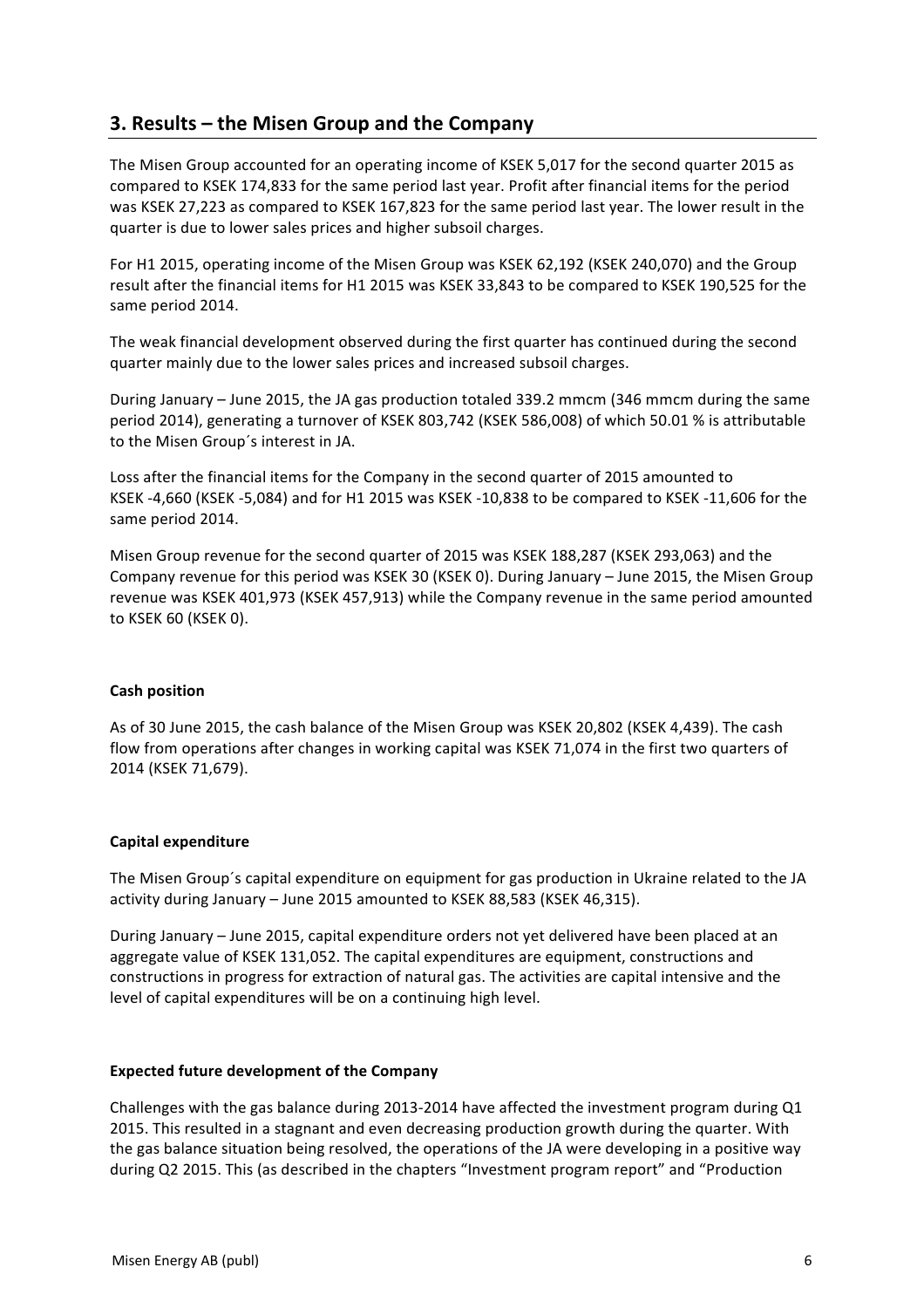# **3. Results – the Misen Group and the Company**

The Misen Group accounted for an operating income of KSEK 5.017 for the second quarter 2015 as compared to KSEK 174,833 for the same period last year. Profit after financial items for the period was KSEK 27,223 as compared to KSEK 167,823 for the same period last year. The lower result in the quarter is due to lower sales prices and higher subsoil charges.

For H1 2015, operating income of the Misen Group was KSEK 62,192 (KSEK 240,070) and the Group result after the financial items for H1 2015 was KSEK 33,843 to be compared to KSEK 190,525 for the same period 2014.

The weak financial development observed during the first quarter has continued during the second quarter mainly due to the lower sales prices and increased subsoil charges.

During January – June 2015, the JA gas production totaled 339.2 mmcm (346 mmcm during the same period 2014), generating a turnover of KSEK 803,742 (KSEK 586,008) of which 50.01 % is attributable to the Misen Group's interest in JA.

Loss after the financial items for the Company in the second quarter of 2015 amounted to KSEK -4,660 (KSEK -5,084) and for H1 2015 was KSEK -10,838 to be compared to KSEK -11,606 for the same period 2014.

Misen Group revenue for the second quarter of 2015 was KSEK 188,287 (KSEK 293,063) and the Company revenue for this period was KSEK 30 (KSEK 0). During January – June 2015, the Misen Group revenue was KSEK 401,973 (KSEK 457,913) while the Company revenue in the same period amounted to KSEK 60 (KSEK 0). 

## **Cash position**

As of 30 June 2015, the cash balance of the Misen Group was KSEK 20,802 (KSEK 4,439). The cash flow from operations after changes in working capital was KSEK 71,074 in the first two quarters of 2014 (KSEK 71,679). 

## **Capital expenditure**

The Misen Group's capital expenditure on equipment for gas production in Ukraine related to the JA activity during January – June 2015 amounted to KSEK 88,583 (KSEK 46,315).

During January – June 2015, capital expenditure orders not yet delivered have been placed at an aggregate value of KSEK 131,052. The capital expenditures are equipment, constructions and constructions in progress for extraction of natural gas. The activities are capital intensive and the level of capital expenditures will be on a continuing high level.

## **Expected future development of the Company**

Challenges with the gas balance during 2013-2014 have affected the investment program during  $Q1$ 2015. This resulted in a stagnant and even decreasing production growth during the quarter. With the gas balance situation being resolved, the operations of the JA were developing in a positive way during Q2 2015. This (as described in the chapters "Investment program report" and "Production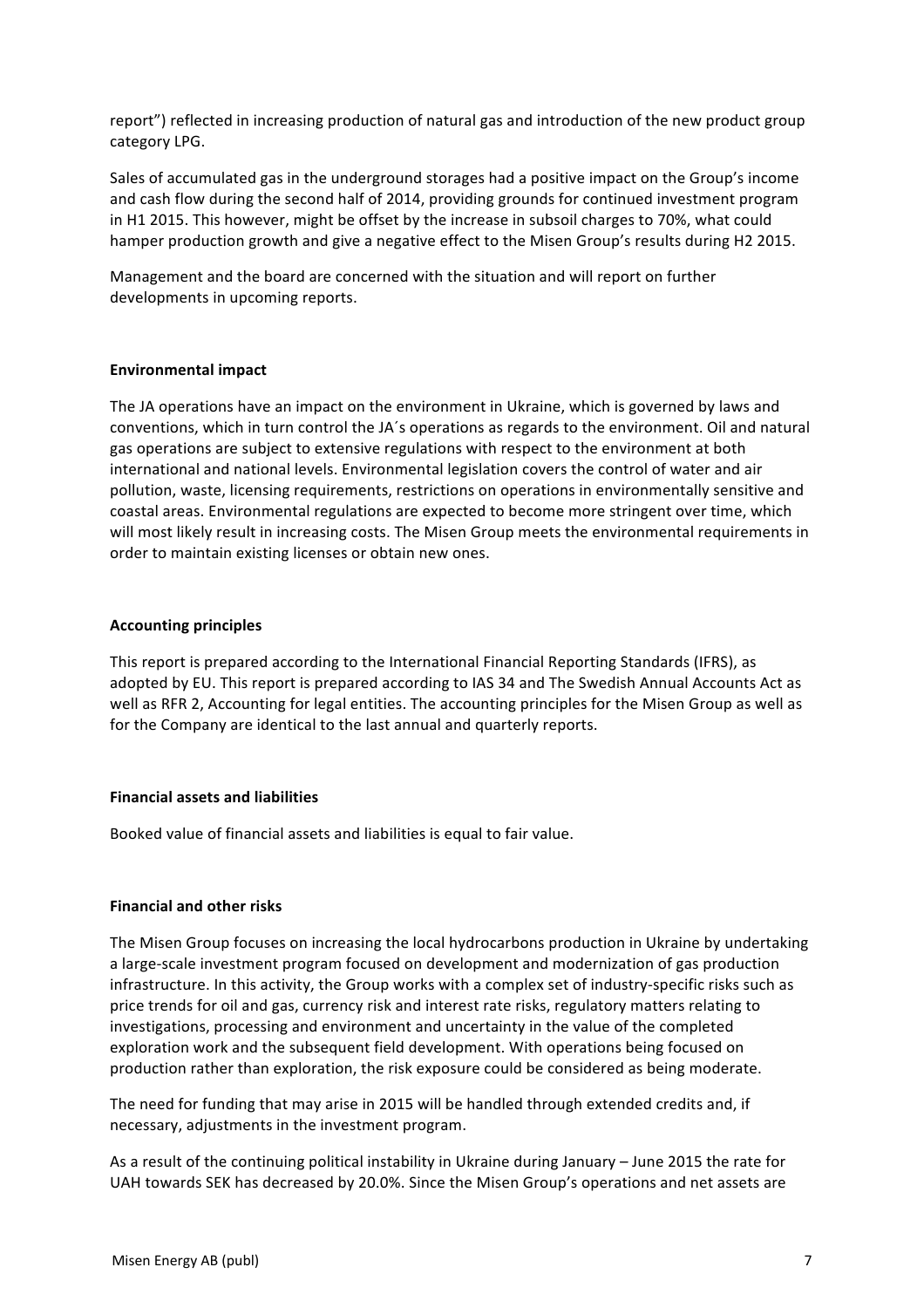report") reflected in increasing production of natural gas and introduction of the new product group category LPG.

Sales of accumulated gas in the underground storages had a positive impact on the Group's income and cash flow during the second half of 2014, providing grounds for continued investment program in H1 2015. This however, might be offset by the increase in subsoil charges to 70%, what could hamper production growth and give a negative effect to the Misen Group's results during H2 2015.

Management and the board are concerned with the situation and will report on further developments in upcoming reports.

## **Environmental impact**

The JA operations have an impact on the environment in Ukraine, which is governed by laws and conventions, which in turn control the JA's operations as regards to the environment. Oil and natural gas operations are subject to extensive regulations with respect to the environment at both international and national levels. Environmental legislation covers the control of water and air pollution, waste, licensing requirements, restrictions on operations in environmentally sensitive and coastal areas. Environmental regulations are expected to become more stringent over time, which will most likely result in increasing costs. The Misen Group meets the environmental requirements in order to maintain existing licenses or obtain new ones.

## **Accounting principles**

This report is prepared according to the International Financial Reporting Standards (IFRS), as adopted by EU. This report is prepared according to IAS 34 and The Swedish Annual Accounts Act as well as RFR 2, Accounting for legal entities. The accounting principles for the Misen Group as well as for the Company are identical to the last annual and quarterly reports.

#### **Financial assets and liabilities**

Booked value of financial assets and liabilities is equal to fair value.

## **Financial and other risks**

The Misen Group focuses on increasing the local hydrocarbons production in Ukraine by undertaking a large-scale investment program focused on development and modernization of gas production infrastructure. In this activity, the Group works with a complex set of industry-specific risks such as price trends for oil and gas, currency risk and interest rate risks, regulatory matters relating to investigations, processing and environment and uncertainty in the value of the completed exploration work and the subsequent field development. With operations being focused on production rather than exploration, the risk exposure could be considered as being moderate.

The need for funding that may arise in 2015 will be handled through extended credits and, if necessary, adjustments in the investment program.

As a result of the continuing political instability in Ukraine during January – June 2015 the rate for UAH towards SEK has decreased by 20.0%. Since the Misen Group's operations and net assets are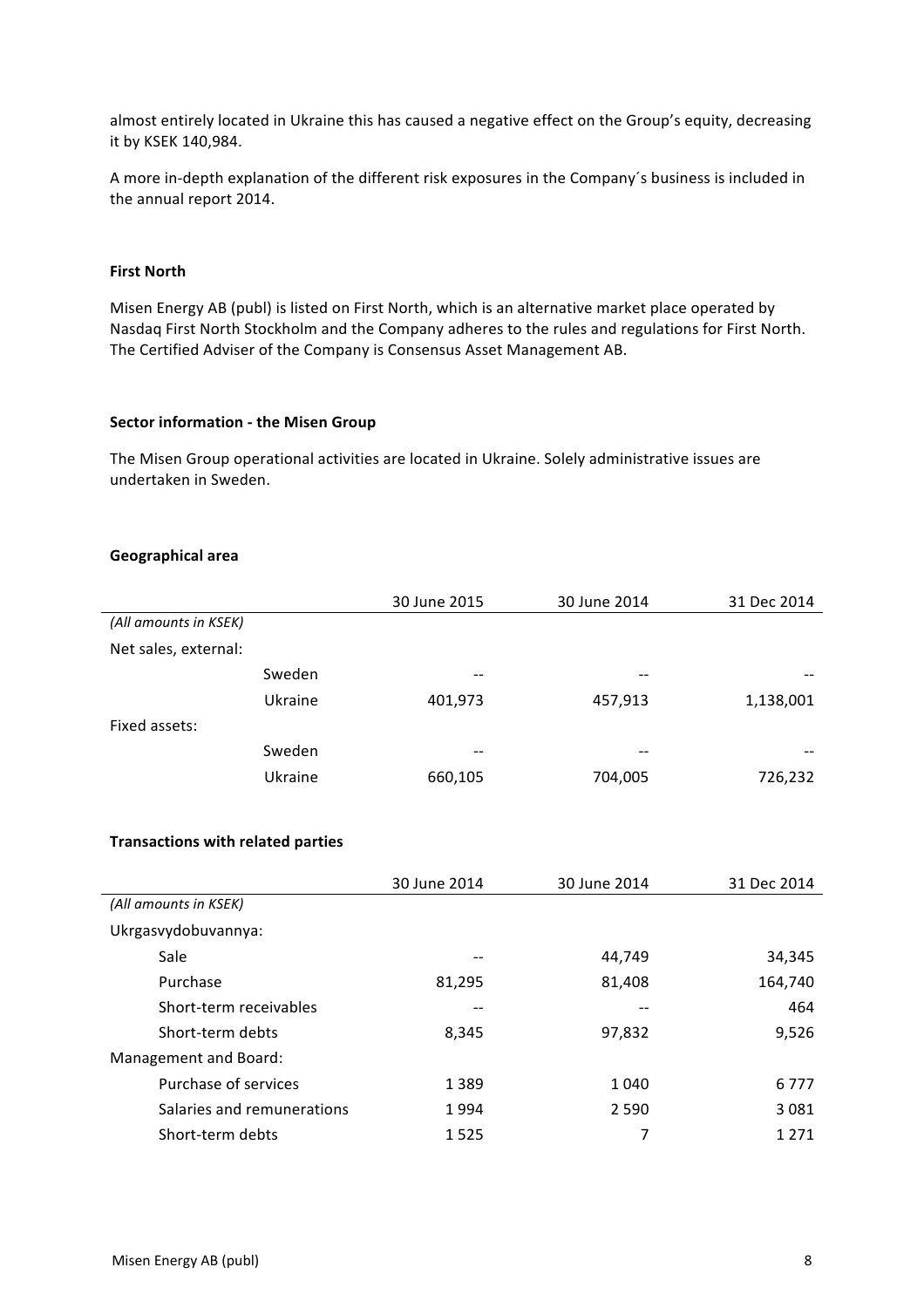almost entirely located in Ukraine this has caused a negative effect on the Group's equity, decreasing it by KSEK 140,984.

A more in-depth explanation of the different risk exposures in the Company's business is included in the annual report 2014.

## **First North**

Misen Energy AB (publ) is listed on First North, which is an alternative market place operated by Nasdaq First North Stockholm and the Company adheres to the rules and regulations for First North. The Certified Adviser of the Company is Consensus Asset Management AB.

#### **Sector information - the Misen Group**

The Misen Group operational activities are located in Ukraine. Solely administrative issues are undertaken in Sweden.

#### **Geographical area**

|                       |         | 30 June 2015 | 30 June 2014      | 31 Dec 2014 |
|-----------------------|---------|--------------|-------------------|-------------|
| (All amounts in KSEK) |         |              |                   |             |
| Net sales, external:  |         |              |                   |             |
|                       | Sweden  | $- -$        | $\qquad \qquad -$ |             |
|                       | Ukraine | 401,973      | 457,913           | 1,138,001   |
| Fixed assets:         |         |              |                   |             |
|                       | Sweden  | $- -$        | $- -$             | --          |
|                       | Ukraine | 660,105      | 704,005           | 726,232     |

#### **Transactions with related parties**

|                            | 30 June 2014 | 30 June 2014 | 31 Dec 2014 |
|----------------------------|--------------|--------------|-------------|
| (All amounts in KSEK)      |              |              |             |
| Ukrgasvydobuvannya:        |              |              |             |
| Sale                       |              | 44,749       | 34,345      |
| Purchase                   | 81,295       | 81,408       | 164,740     |
| Short-term receivables     |              | --           | 464         |
| Short-term debts           | 8,345        | 97,832       | 9,526       |
| Management and Board:      |              |              |             |
| Purchase of services       | 1 3 8 9      | 1 0 4 0      | 6 7 7 7     |
| Salaries and remunerations | 1994         | 2 5 9 0      | 3 0 8 1     |
| Short-term debts           | 1525         | 7            | 1 2 7 1     |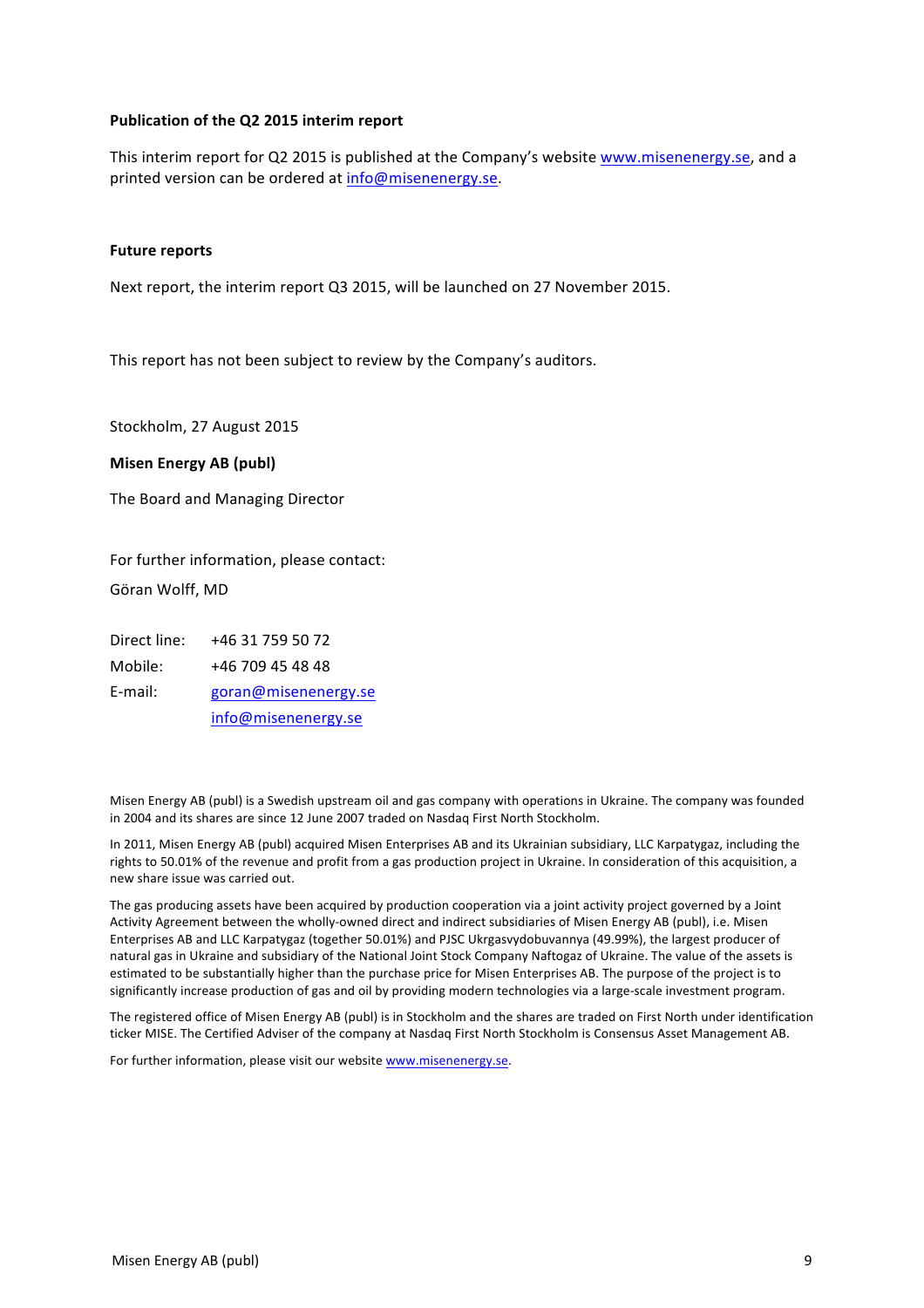#### **Publication of the Q2 2015 interim report**

This interim report for Q2 2015 is published at the Company's website www.misenenergy.se, and a printed version can be ordered at info@misenenergy.se.

#### **Future reports**

Next report, the interim report Q3 2015, will be launched on 27 November 2015.

This report has not been subject to review by the Company's auditors.

Stockholm, 27 August 2015

#### **Misen Energy AB (publ)**

The Board and Managing Director

For further information, please contact: Göran Wolff, MD

Direct line: +46 31 759 50 72 Mobile: +46 709 45 48 48 E-mail: goran@misenenergy.se info@misenenergy.se

Misen Energy AB (publ) is a Swedish upstream oil and gas company with operations in Ukraine. The company was founded in 2004 and its shares are since 12 June 2007 traded on Nasdaq First North Stockholm.

In 2011, Misen Energy AB (publ) acquired Misen Enterprises AB and its Ukrainian subsidiary, LLC Karpatygaz, including the rights to 50.01% of the revenue and profit from a gas production project in Ukraine. In consideration of this acquisition, a new share issue was carried out.

The gas producing assets have been acquired by production cooperation via a joint activity project governed by a Joint Activity Agreement between the wholly-owned direct and indirect subsidiaries of Misen Energy AB (publ), i.e. Misen Enterprises AB and LLC Karpatygaz (together 50.01%) and PJSC Ukrgasvydobuvannya (49.99%), the largest producer of natural gas in Ukraine and subsidiary of the National Joint Stock Company Naftogaz of Ukraine. The value of the assets is estimated to be substantially higher than the purchase price for Misen Enterprises AB. The purpose of the project is to significantly increase production of gas and oil by providing modern technologies via a large-scale investment program.

The registered office of Misen Energy AB (publ) is in Stockholm and the shares are traded on First North under identification ticker MISE. The Certified Adviser of the company at Nasdaq First North Stockholm is Consensus Asset Management AB.

For further information, please visit our website www.misenenergy.se.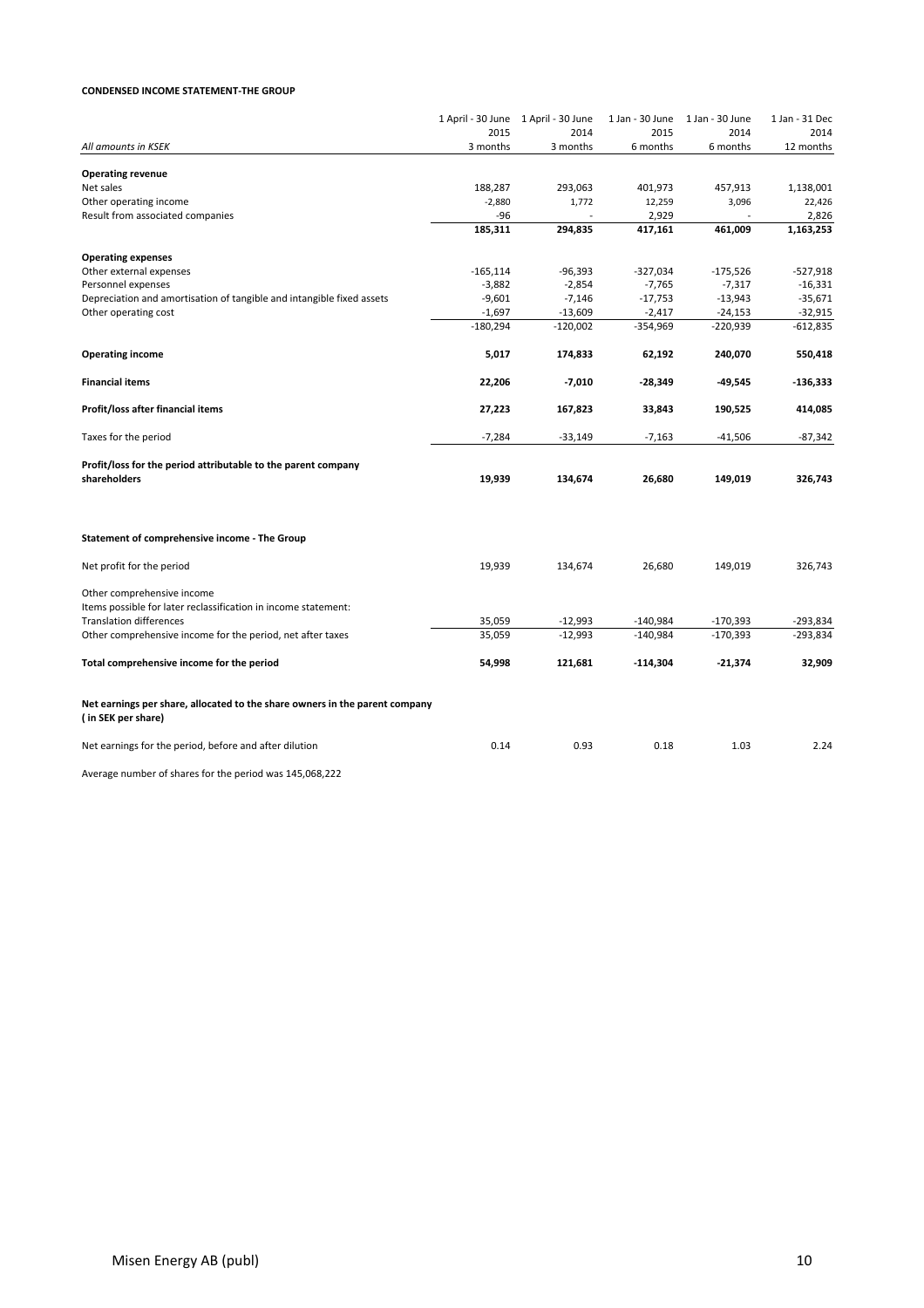#### **CONDENSED INCOME STATEMENT-THE GROUP**

|                                                                                                                     |             | 1 April - 30 June 1 April - 30 June | 1 Jan - 30 June | 1 Jan - 30 June | 1 Jan - 31 Dec |
|---------------------------------------------------------------------------------------------------------------------|-------------|-------------------------------------|-----------------|-----------------|----------------|
|                                                                                                                     | 2015        | 2014                                | 2015            | 2014            | 2014           |
| All amounts in KSEK                                                                                                 | 3 months    | 3 months                            | 6 months        | 6 months        | 12 months      |
| <b>Operating revenue</b>                                                                                            |             |                                     |                 |                 |                |
| Net sales                                                                                                           | 188,287     | 293,063                             | 401,973         | 457,913         | 1,138,001      |
| Other operating income                                                                                              | $-2,880$    | 1,772                               | 12,259          | 3,096           | 22,426         |
| Result from associated companies                                                                                    | -96         |                                     | 2,929           |                 | 2,826          |
|                                                                                                                     | 185,311     | 294,835                             | 417,161         | 461,009         | 1,163,253      |
| <b>Operating expenses</b>                                                                                           |             |                                     |                 |                 |                |
| Other external expenses                                                                                             | $-165, 114$ | $-96,393$                           | $-327,034$      | $-175,526$      | $-527,918$     |
| Personnel expenses                                                                                                  | $-3,882$    | $-2,854$                            | $-7,765$        | $-7,317$        | $-16,331$      |
| Depreciation and amortisation of tangible and intangible fixed assets                                               | $-9,601$    | $-7,146$                            | $-17,753$       | $-13,943$       | $-35,671$      |
| Other operating cost                                                                                                | $-1,697$    | $-13,609$                           | $-2,417$        | $-24,153$       | $-32,915$      |
|                                                                                                                     | $-180,294$  | $-120,002$                          | $-354,969$      | $-220,939$      | $-612,835$     |
| <b>Operating income</b>                                                                                             | 5,017       | 174,833                             | 62,192          | 240,070         | 550,418        |
| <b>Financial items</b>                                                                                              | 22,206      | $-7,010$                            | -28,349         | $-49,545$       | $-136,333$     |
| Profit/loss after financial items                                                                                   | 27,223      | 167,823                             | 33,843          | 190,525         | 414,085        |
|                                                                                                                     |             |                                     |                 |                 |                |
| Taxes for the period                                                                                                | $-7,284$    | $-33,149$                           | $-7,163$        | $-41,506$       | $-87,342$      |
| Profit/loss for the period attributable to the parent company<br>shareholders                                       | 19,939      | 134,674                             | 26,680          | 149,019         | 326,743        |
|                                                                                                                     |             |                                     |                 |                 |                |
| Statement of comprehensive income - The Group                                                                       |             |                                     |                 |                 |                |
| Net profit for the period                                                                                           | 19,939      | 134,674                             | 26,680          | 149,019         | 326,743        |
| Other comprehensive income                                                                                          |             |                                     |                 |                 |                |
| Items possible for later reclassification in income statement:                                                      |             |                                     |                 |                 |                |
| <b>Translation differences</b>                                                                                      | 35,059      | $-12,993$                           | $-140,984$      | $-170,393$      | -293,834       |
| Other comprehensive income for the period, net after taxes                                                          | 35,059      | $-12,993$                           | $-140.984$      | $-170,393$      | $-293,834$     |
| Total comprehensive income for the period                                                                           | 54,998      | 121,681                             | $-114,304$      | $-21,374$       | 32,909         |
| Net earnings per share, allocated to the share owners in the parent company<br>(in SEK per share)                   |             |                                     |                 |                 |                |
| Net earnings for the period, before and after dilution                                                              | 0.14        | 0.93                                | 0.18            | 1.03            | 2.24           |
| $\sim$ 200 $\pm$ 50 $\pm$ 60 $\pm$ 50 $\pm$ 60 $\pm$ 60 $\pm$ 50 $\pm$ 50 $\pm$ 50 $\pm$ 50 $\pm$ 50 $\pm$ 50 $\pm$ |             |                                     |                 |                 |                |

Average number of shares for the period was 145,068,222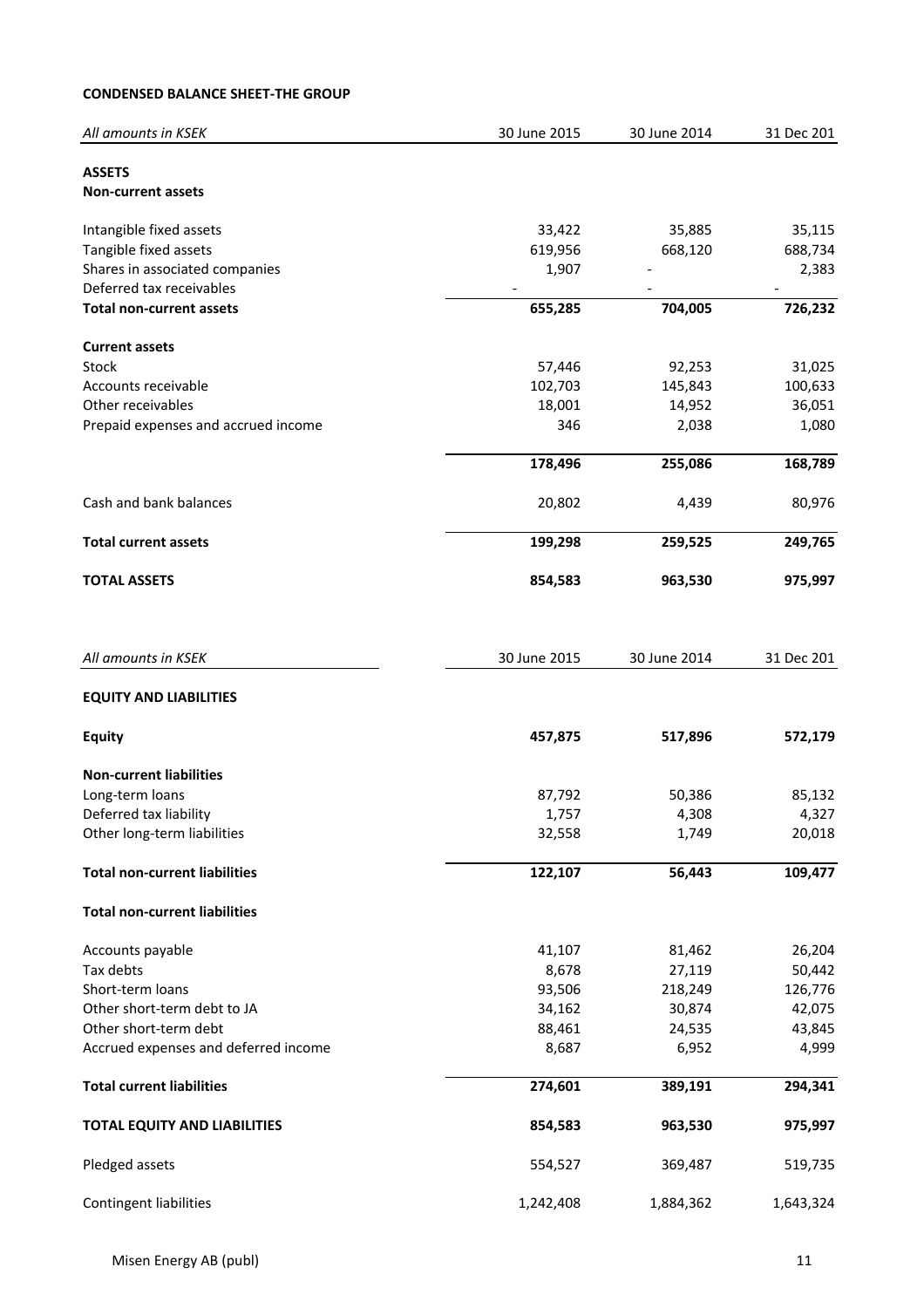## **CONDENSED BALANCE SHEET-THE GROUP**

| All amounts in KSEK                        | 30 June 2015 | 30 June 2014 | 31 Dec 201 |
|--------------------------------------------|--------------|--------------|------------|
| <b>ASSETS</b><br><b>Non-current assets</b> |              |              |            |
| Intangible fixed assets                    | 33,422       | 35,885       | 35,115     |
| Tangible fixed assets                      | 619,956      | 668,120      | 688,734    |
| Shares in associated companies             | 1,907        |              | 2,383      |
| Deferred tax receivables                   |              |              |            |
| <b>Total non-current assets</b>            | 655,285      | 704,005      | 726,232    |
| <b>Current assets</b>                      |              |              |            |
| Stock                                      | 57,446       | 92,253       | 31,025     |
| Accounts receivable                        | 102,703      | 145,843      | 100,633    |
| Other receivables                          | 18,001       | 14,952       | 36,051     |
| Prepaid expenses and accrued income        | 346          | 2,038        | 1,080      |
|                                            | 178,496      | 255,086      | 168,789    |
| Cash and bank balances                     | 20,802       | 4,439        | 80,976     |
| <b>Total current assets</b>                | 199,298      | 259,525      | 249,765    |
| <b>TOTAL ASSETS</b>                        | 854,583      | 963,530      | 975,997    |
| All amounts in KSEK                        | 30 June 2015 | 30 June 2014 | 31 Dec 201 |
| <b>EQUITY AND LIABILITIES</b>              |              |              |            |
| <b>Equity</b>                              | 457,875      | 517,896      | 572,179    |
| <b>Non-current liabilities</b>             |              |              |            |
| Long-term loans                            | 87,792       | 50,386       | 85,132     |
| Deferred tax liability                     | 1,757        | 4,308        | 4,327      |
| Other long-term liabilities                | 32,558       | 1,749        | 20,018     |
| <b>Total non-current liabilities</b>       | 122,107      | 56,443       | 109,477    |
| <b>Total non-current liabilities</b>       |              |              |            |
| Accounts payable                           | 41,107       | 81,462       | 26,204     |
| Tax debts                                  | 8,678        | 27,119       | 50,442     |
| Short-term loans                           | 93,506       | 218,249      | 126,776    |
| Other short-term debt to JA                | 34,162       | 30,874       | 42,075     |
| Other short-term debt                      | 88,461       | 24,535       | 43,845     |
| Accrued expenses and deferred income       | 8,687        | 6,952        | 4,999      |
| <b>Total current liabilities</b>           | 274,601      | 389,191      | 294,341    |
| <b>TOTAL EQUITY AND LIABILITIES</b>        | 854,583      | 963,530      | 975,997    |
| Pledged assets                             | 554,527      | 369,487      | 519,735    |
| <b>Contingent liabilities</b>              | 1,242,408    | 1,884,362    | 1,643,324  |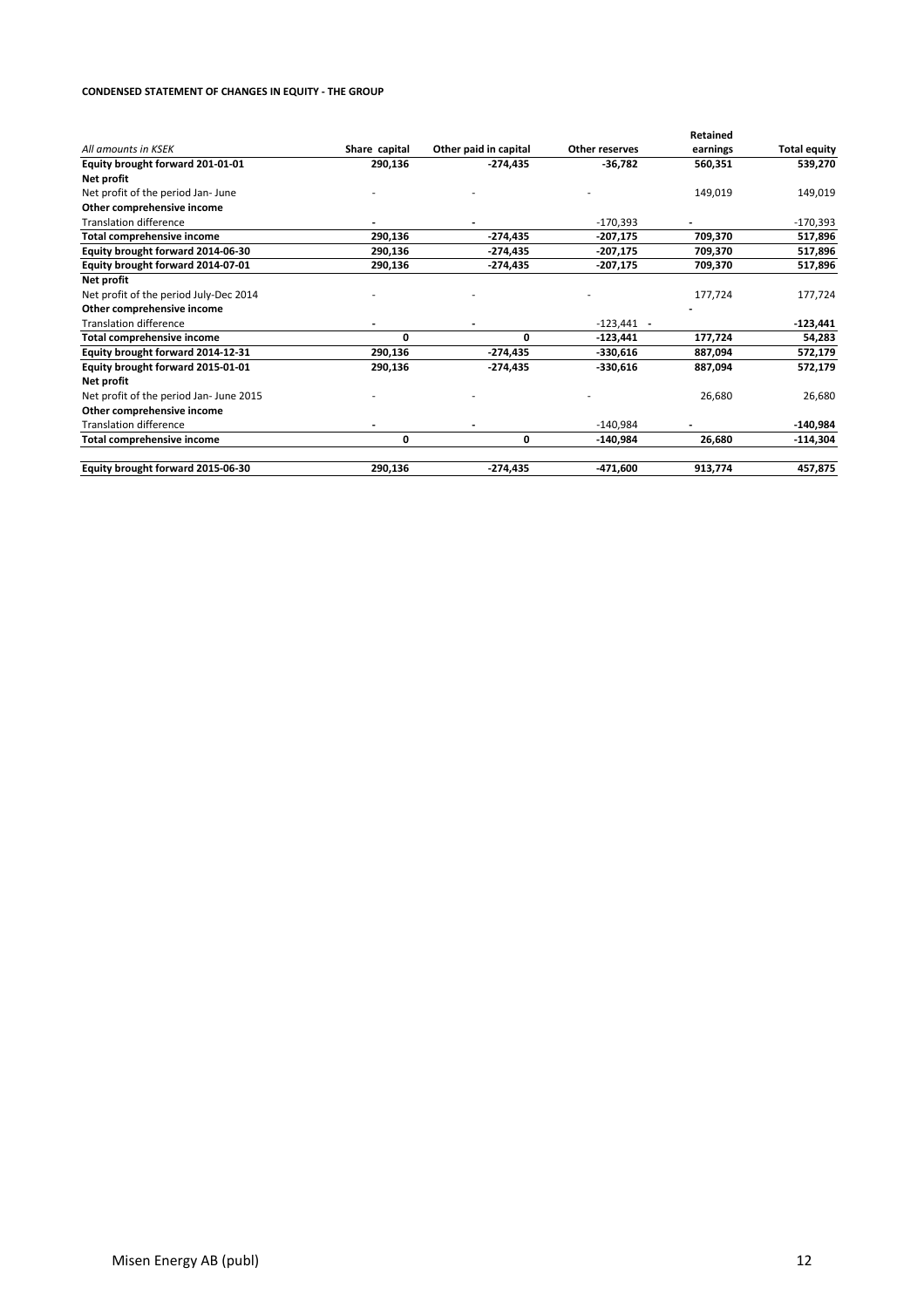#### **CONDENSED STATEMENT OF CHANGES IN EQUITY - THE GROUP**

|                                         |               |                       |                       | Retained |                     |
|-----------------------------------------|---------------|-----------------------|-----------------------|----------|---------------------|
| All amounts in KSEK                     | Share capital | Other paid in capital | <b>Other reserves</b> | earnings | <b>Total equity</b> |
| Equity brought forward 201-01-01        | 290,136       | $-274,435$            | $-36,782$             | 560,351  | 539,270             |
| Net profit                              |               |                       |                       |          |                     |
| Net profit of the period Jan-June       |               |                       |                       | 149,019  | 149,019             |
| Other comprehensive income              |               |                       |                       |          |                     |
| <b>Translation difference</b>           |               |                       | $-170,393$            |          | $-170,393$          |
| <b>Total comprehensive income</b>       | 290,136       | $-274,435$            | $-207,175$            | 709,370  | 517,896             |
| Equity brought forward 2014-06-30       | 290,136       | $-274,435$            | $-207,175$            | 709,370  | 517,896             |
| Equity brought forward 2014-07-01       | 290,136       | $-274,435$            | $-207,175$            | 709,370  | 517,896             |
| Net profit                              |               |                       |                       |          |                     |
| Net profit of the period July-Dec 2014  |               |                       |                       | 177,724  | 177,724             |
| Other comprehensive income              |               |                       |                       |          |                     |
| <b>Translation difference</b>           |               |                       | $-123,441$            |          | $-123,441$          |
| <b>Total comprehensive income</b>       | 0             | $\Omega$              | $-123,441$            | 177,724  | 54,283              |
| Equity brought forward 2014-12-31       | 290,136       | $-274,435$            | $-330,616$            | 887,094  | 572,179             |
| Equity brought forward 2015-01-01       | 290,136       | $-274,435$            | $-330,616$            | 887,094  | 572,179             |
| Net profit                              |               |                       |                       |          |                     |
| Net profit of the period Jan- June 2015 |               |                       |                       | 26,680   | 26,680              |
| Other comprehensive income              |               |                       |                       |          |                     |
| <b>Translation difference</b>           |               |                       | $-140,984$            |          | $-140,984$          |
| Total comprehensive income              | 0             | 0                     | $-140,984$            | 26,680   | $-114,304$          |
| Equity brought forward 2015-06-30       | 290,136       | $-274,435$            | $-471,600$            | 913,774  | 457,875             |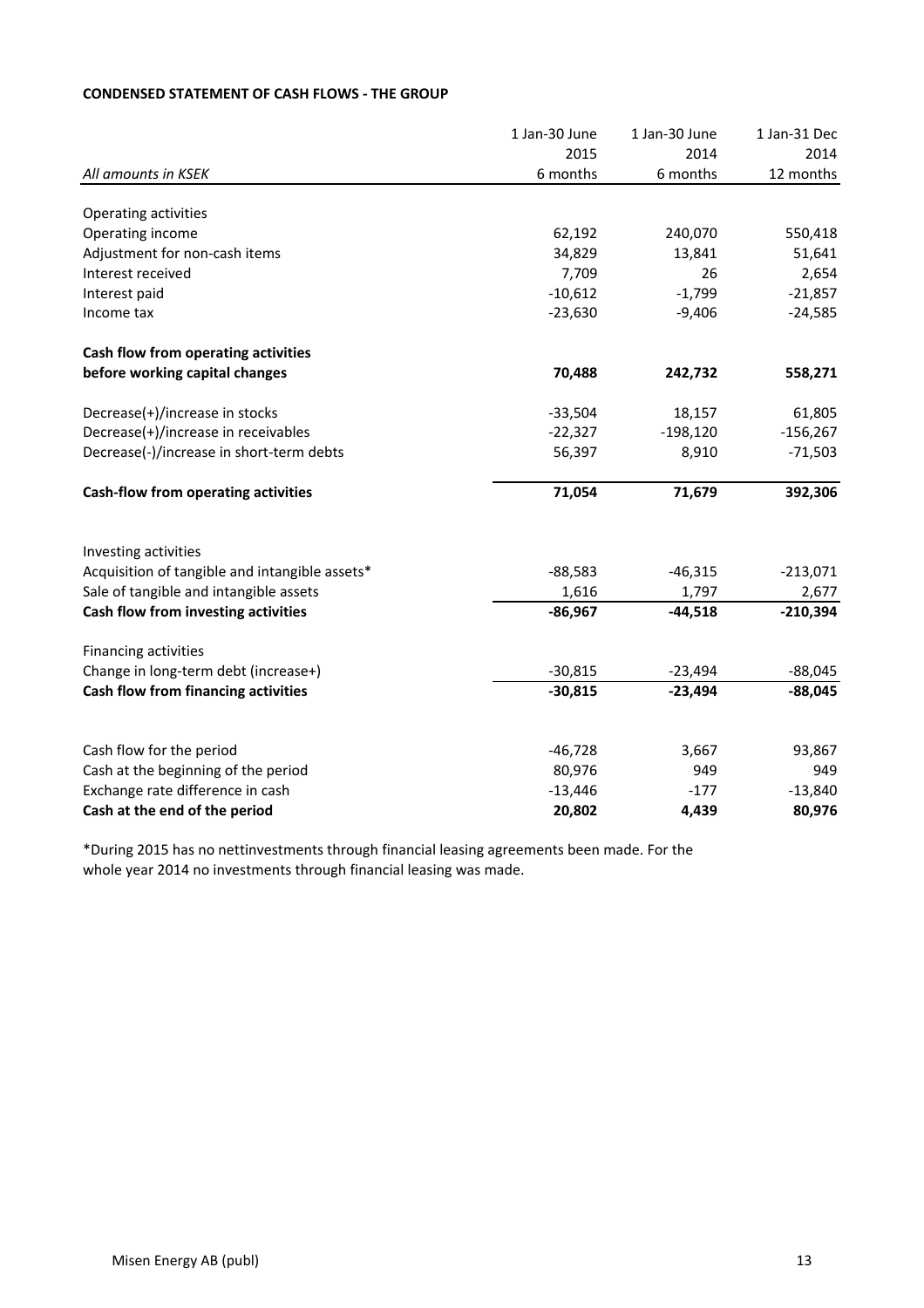## **CONDENSED STATEMENT OF CASH FLOWS - THE GROUP**

|                                                                 | 1 Jan-30 June       | 1 Jan-30 June | 1 Jan-31 Dec  |
|-----------------------------------------------------------------|---------------------|---------------|---------------|
|                                                                 | 2015                | 2014          | 2014          |
| All amounts in KSEK                                             | 6 months            | 6 months      | 12 months     |
| Operating activities                                            |                     |               |               |
| Operating income                                                | 62,192              | 240,070       | 550,418       |
| Adjustment for non-cash items                                   | 34,829              | 13,841        | 51,641        |
| Interest received                                               | 7,709               | 26            | 2,654         |
| Interest paid                                                   | $-10,612$           | $-1,799$      | $-21,857$     |
| Income tax                                                      | $-23,630$           | $-9,406$      | $-24,585$     |
| Cash flow from operating activities                             |                     |               |               |
| before working capital changes                                  | 70,488              | 242,732       | 558,271       |
| Decrease(+)/increase in stocks                                  | $-33,504$           | 18,157        | 61,805        |
| Decrease(+)/increase in receivables                             | $-22,327$           | $-198,120$    | $-156,267$    |
| Decrease(-)/increase in short-term debts                        | 56,397              | 8,910         | $-71,503$     |
| Cash-flow from operating activities                             | 71,054              | 71,679        | 392,306       |
| Investing activities                                            |                     |               |               |
| Acquisition of tangible and intangible assets*                  | $-88,583$           | $-46,315$     | $-213,071$    |
| Sale of tangible and intangible assets                          | 1,616               | 1,797         | 2,677         |
| Cash flow from investing activities                             | $-86,967$           | $-44,518$     | $-210,394$    |
| Financing activities                                            |                     |               |               |
| Change in long-term debt (increase+)                            | $-30,815$           | $-23,494$     | $-88,045$     |
| Cash flow from financing activities                             | $-30,815$           | $-23,494$     | $-88,045$     |
|                                                                 |                     |               |               |
| Cash flow for the period<br>Cash at the beginning of the period | $-46,728$<br>80,976 | 3,667<br>949  | 93,867<br>949 |
| Exchange rate difference in cash                                | $-13,446$           | $-177$        | $-13,840$     |
| Cash at the end of the period                                   | 20,802              | 4,439         | 80,976        |

\*During 2015 has no nettinvestments through financial leasing agreements been made. For the whole year 2014 no investments through financial leasing was made.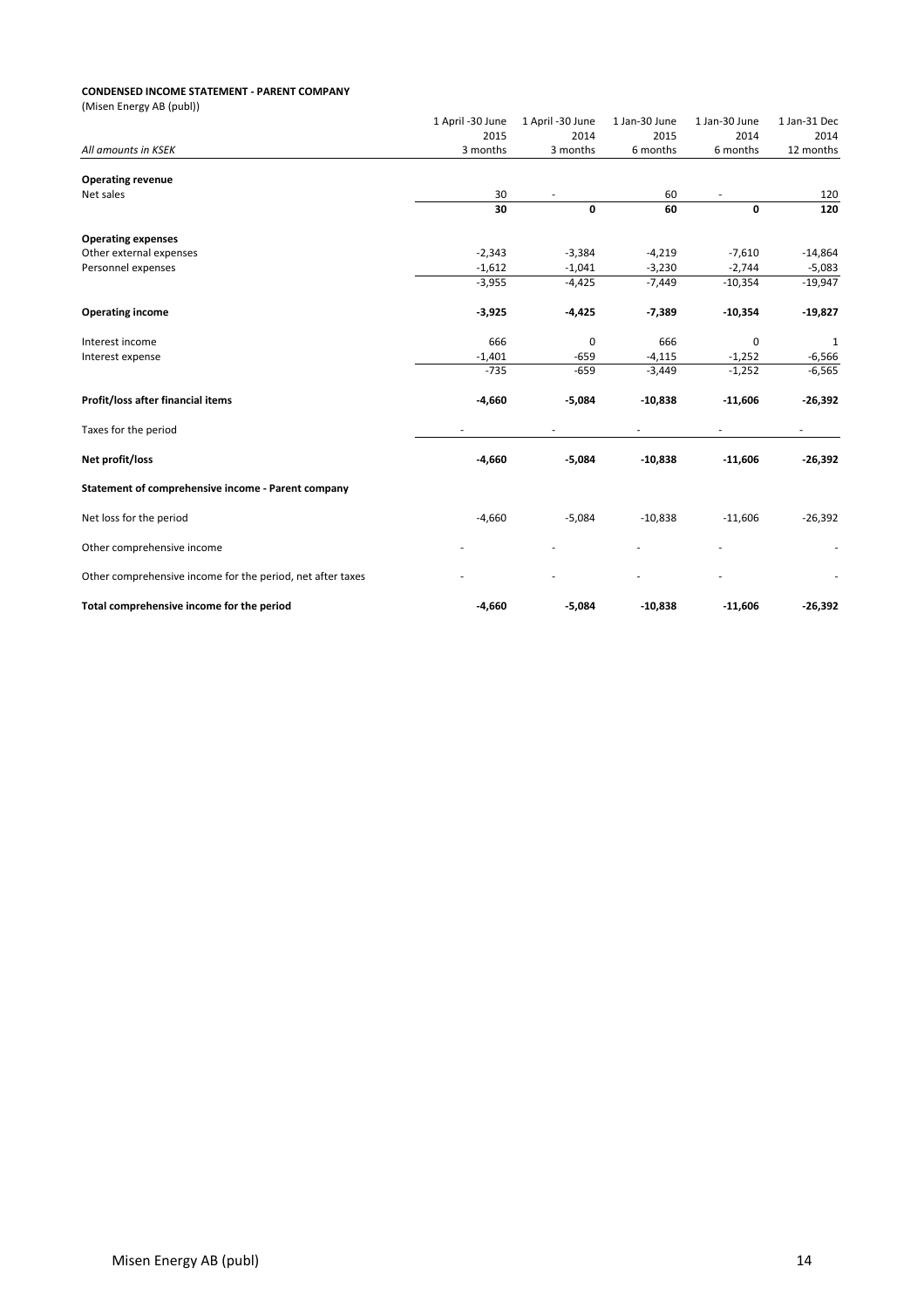#### **CONDENSED INCOME STATEMENT - PARENT COMPANY**

| (Misen Energy AB (publ))                                   |                          |                  |               |               |                          |
|------------------------------------------------------------|--------------------------|------------------|---------------|---------------|--------------------------|
|                                                            | 1 April -30 June         | 1 April -30 June | 1 Jan-30 June | 1 Jan-30 June | 1 Jan-31 Dec             |
|                                                            | 2015                     | 2014             | 2015          | 2014          | 2014                     |
| All amounts in KSEK                                        | 3 months                 | 3 months         | 6 months      | 6 months      | 12 months                |
| <b>Operating revenue</b>                                   |                          |                  |               |               |                          |
| Net sales                                                  | 30                       |                  | 60            |               | 120                      |
|                                                            | 30                       | 0                | 60            | 0             | 120                      |
| <b>Operating expenses</b>                                  |                          |                  |               |               |                          |
| Other external expenses                                    | $-2,343$                 | $-3,384$         | $-4,219$      | $-7,610$      | $-14,864$                |
| Personnel expenses                                         | $-1,612$                 | $-1,041$         | $-3,230$      | $-2,744$      | $-5,083$                 |
|                                                            | $-3,955$                 | $-4,425$         | $-7,449$      | $-10,354$     | $-19,947$                |
| <b>Operating income</b>                                    | $-3,925$                 | $-4,425$         | $-7,389$      | $-10,354$     | $-19,827$                |
| Interest income                                            | 666                      | 0                | 666           | $\mathbf 0$   | 1                        |
| Interest expense                                           | $-1,401$                 | $-659$           | $-4,115$      | $-1,252$      | $-6,566$                 |
|                                                            | $-735$                   | $-659$           | $-3,449$      | $-1,252$      | $-6,565$                 |
| Profit/loss after financial items                          | $-4,660$                 | $-5,084$         | $-10,838$     | $-11,606$     | $-26,392$                |
| Taxes for the period                                       | $\overline{\phantom{a}}$ |                  |               |               | $\overline{\phantom{0}}$ |
| Net profit/loss                                            | $-4,660$                 | $-5,084$         | $-10,838$     | $-11,606$     | $-26,392$                |
| Statement of comprehensive income - Parent company         |                          |                  |               |               |                          |
| Net loss for the period                                    | $-4,660$                 | $-5,084$         | $-10,838$     | $-11,606$     | $-26,392$                |
| Other comprehensive income                                 |                          |                  |               |               |                          |
| Other comprehensive income for the period, net after taxes |                          |                  |               |               |                          |
| Total comprehensive income for the period                  | $-4,660$                 | $-5,084$         | $-10,838$     | $-11,606$     | $-26,392$                |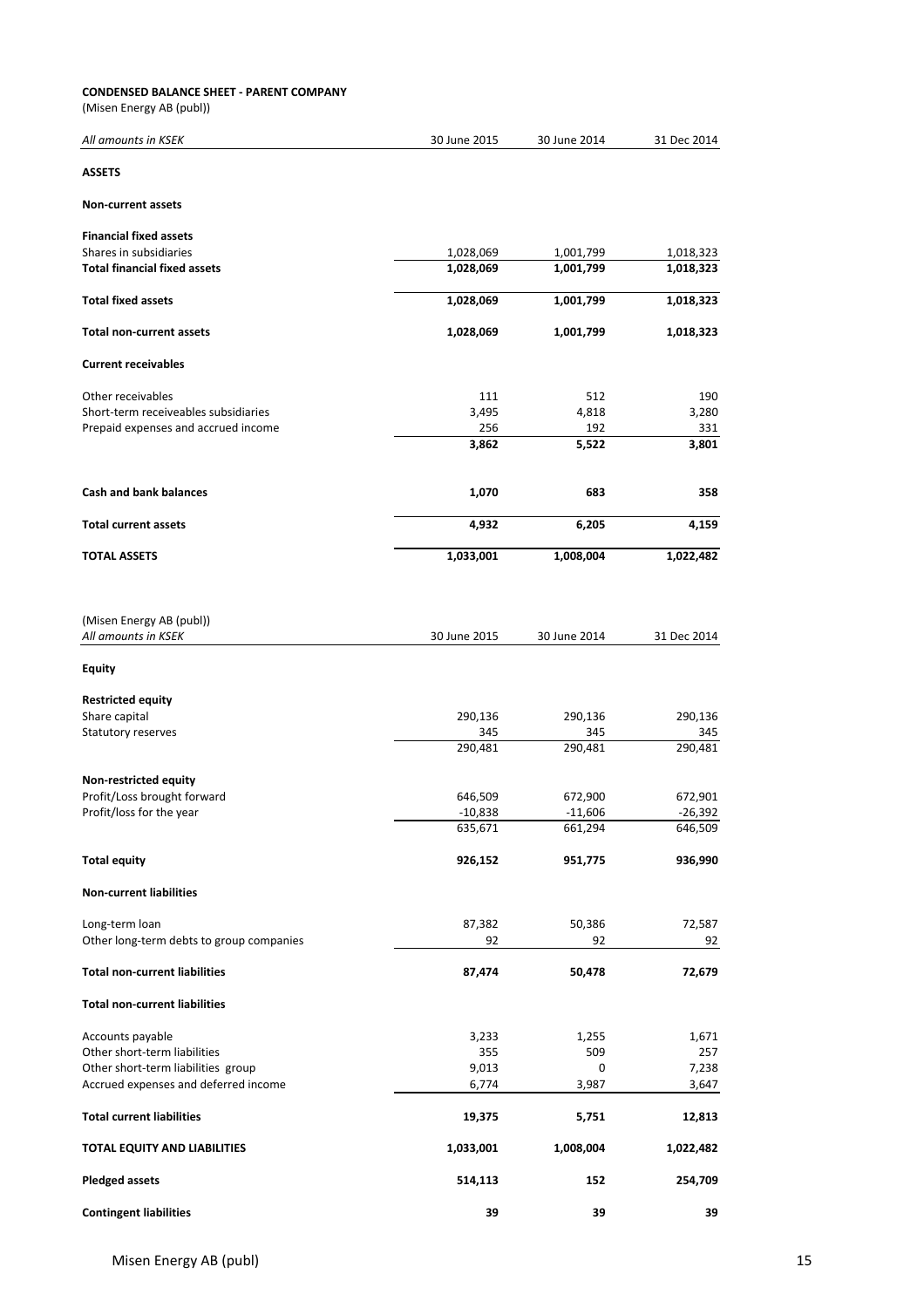#### **CONDENSED BALANCE SHEET - PARENT COMPANY**

(Misen Energy AB (publ))

| All amounts in KSEK                             | 30 June 2015         | 30 June 2014         | 31 Dec 2014        |
|-------------------------------------------------|----------------------|----------------------|--------------------|
| <b>ASSETS</b>                                   |                      |                      |                    |
| <b>Non-current assets</b>                       |                      |                      |                    |
| <b>Financial fixed assets</b>                   |                      |                      |                    |
| Shares in subsidiaries                          | 1,028,069            | 1,001,799            | 1,018,323          |
| <b>Total financial fixed assets</b>             | 1,028,069            | 1,001,799            | 1,018,323          |
| <b>Total fixed assets</b>                       | 1,028,069            | 1,001,799            | 1,018,323          |
| <b>Total non-current assets</b>                 | 1,028,069            | 1,001,799            | 1,018,323          |
| <b>Current receivables</b>                      |                      |                      |                    |
| Other receivables                               | 111                  | 512                  | 190                |
| Short-term receiveables subsidiaries            | 3,495                | 4,818                | 3,280              |
| Prepaid expenses and accrued income             | 256                  | 192                  | 331                |
|                                                 | 3,862                | 5,522                | 3,801              |
| <b>Cash and bank balances</b>                   | 1,070                | 683                  | 358                |
| <b>Total current assets</b>                     | 4,932                | 6,205                | 4,159              |
| <b>TOTAL ASSETS</b>                             | 1,033,001            | 1,008,004            | 1,022,482          |
| (Misen Energy AB (publ))<br>All amounts in KSEK | 30 June 2015         | 30 June 2014         | 31 Dec 2014        |
| <b>Equity</b>                                   |                      |                      |                    |
| <b>Restricted equity</b>                        |                      |                      |                    |
| Share capital                                   | 290,136              | 290,136              | 290,136            |
| Statutory reserves                              | 345                  | 345                  | 345                |
|                                                 | 290,481              | 290,481              | 290,481            |
| Non-restricted equity                           |                      |                      |                    |
| Profit/Loss brought forward                     | 646,509              | 672,900              | 672,901            |
| Profit/loss for the year                        | $-10,838$<br>635,671 | $-11,606$<br>661,294 | -26,392<br>646,509 |
|                                                 |                      |                      |                    |
| <b>Total equity</b>                             | 926,152              | 951,775              | 936,990            |
| <b>Non-current liabilities</b>                  |                      |                      |                    |
| Long-term loan                                  | 87,382               | 50,386               | 72,587             |
| Other long-term debts to group companies        | 92                   | 92                   | 92                 |
| <b>Total non-current liabilities</b>            | 87,474               | 50,478               | 72,679             |
| <b>Total non-current liabilities</b>            |                      |                      |                    |
| Accounts payable                                | 3,233                | 1,255                | 1,671              |
| Other short-term liabilities                    | 355                  | 509                  | 257                |
| Other short-term liabilities group              | 9,013                | 0                    | 7,238              |
| Accrued expenses and deferred income            | 6,774                | 3,987                | 3,647              |
| <b>Total current liabilities</b>                | 19,375               | 5,751                | 12,813             |
| TOTAL EQUITY AND LIABILITIES                    | 1,033,001            | 1,008,004            | 1,022,482          |
| <b>Pledged assets</b>                           | 514,113              | 152                  | 254,709            |
| <b>Contingent liabilities</b>                   | 39                   | 39                   | 39                 |

Misen Energy AB (publ) 15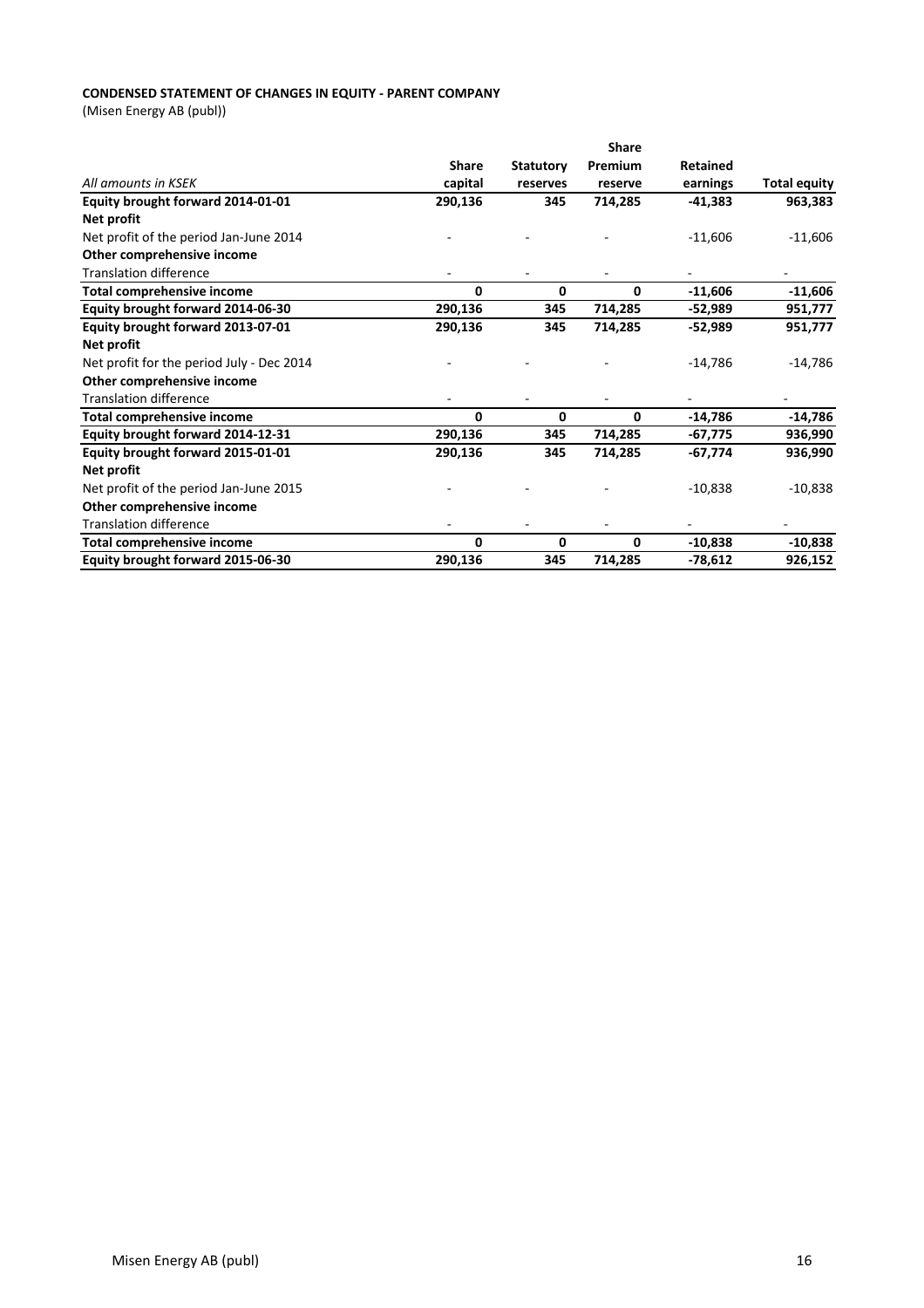## **CONDENSED STATEMENT OF CHANGES IN EQUITY - PARENT COMPANY**

(Misen Energy AB (publ))

|                                           |              |                  | <b>Share</b> |                 |                     |
|-------------------------------------------|--------------|------------------|--------------|-----------------|---------------------|
|                                           | <b>Share</b> | <b>Statutory</b> | Premium      | <b>Retained</b> |                     |
| All amounts in KSEK                       | capital      | reserves         | reserve      | earnings        | <b>Total equity</b> |
| Equity brought forward 2014-01-01         | 290,136      | 345              | 714,285      | -41,383         | 963,383             |
| Net profit                                |              |                  |              |                 |                     |
| Net profit of the period Jan-June 2014    |              |                  |              | $-11,606$       | $-11,606$           |
| Other comprehensive income                |              |                  |              |                 |                     |
| <b>Translation difference</b>             |              |                  |              |                 |                     |
| Total comprehensive income                | 0            | 0                | 0            | $-11,606$       | $-11,606$           |
| Equity brought forward 2014-06-30         | 290,136      | 345              | 714,285      | $-52,989$       | 951,777             |
| Equity brought forward 2013-07-01         | 290,136      | 345              | 714,285      | -52,989         | 951,777             |
| Net profit                                |              |                  |              |                 |                     |
| Net profit for the period July - Dec 2014 |              |                  |              | $-14,786$       | $-14,786$           |
| Other comprehensive income                |              |                  |              |                 |                     |
| <b>Translation difference</b>             |              |                  |              |                 |                     |
| <b>Total comprehensive income</b>         | 0            | $\mathbf{0}$     | 0            | $-14,786$       | $-14,786$           |
| Equity brought forward 2014-12-31         | 290,136      | 345              | 714,285      | -67,775         | 936,990             |
| Equity brought forward 2015-01-01         | 290,136      | 345              | 714,285      | $-67,774$       | 936,990             |
| Net profit                                |              |                  |              |                 |                     |
| Net profit of the period Jan-June 2015    |              |                  |              | $-10,838$       | $-10,838$           |
| Other comprehensive income                |              |                  |              |                 |                     |
| <b>Translation difference</b>             |              |                  |              |                 |                     |
| <b>Total comprehensive income</b>         | $\mathbf{0}$ | $\mathbf{0}$     | 0            | $-10,838$       | $-10,838$           |
| Equity brought forward 2015-06-30         | 290,136      | 345              | 714,285      | $-78,612$       | 926,152             |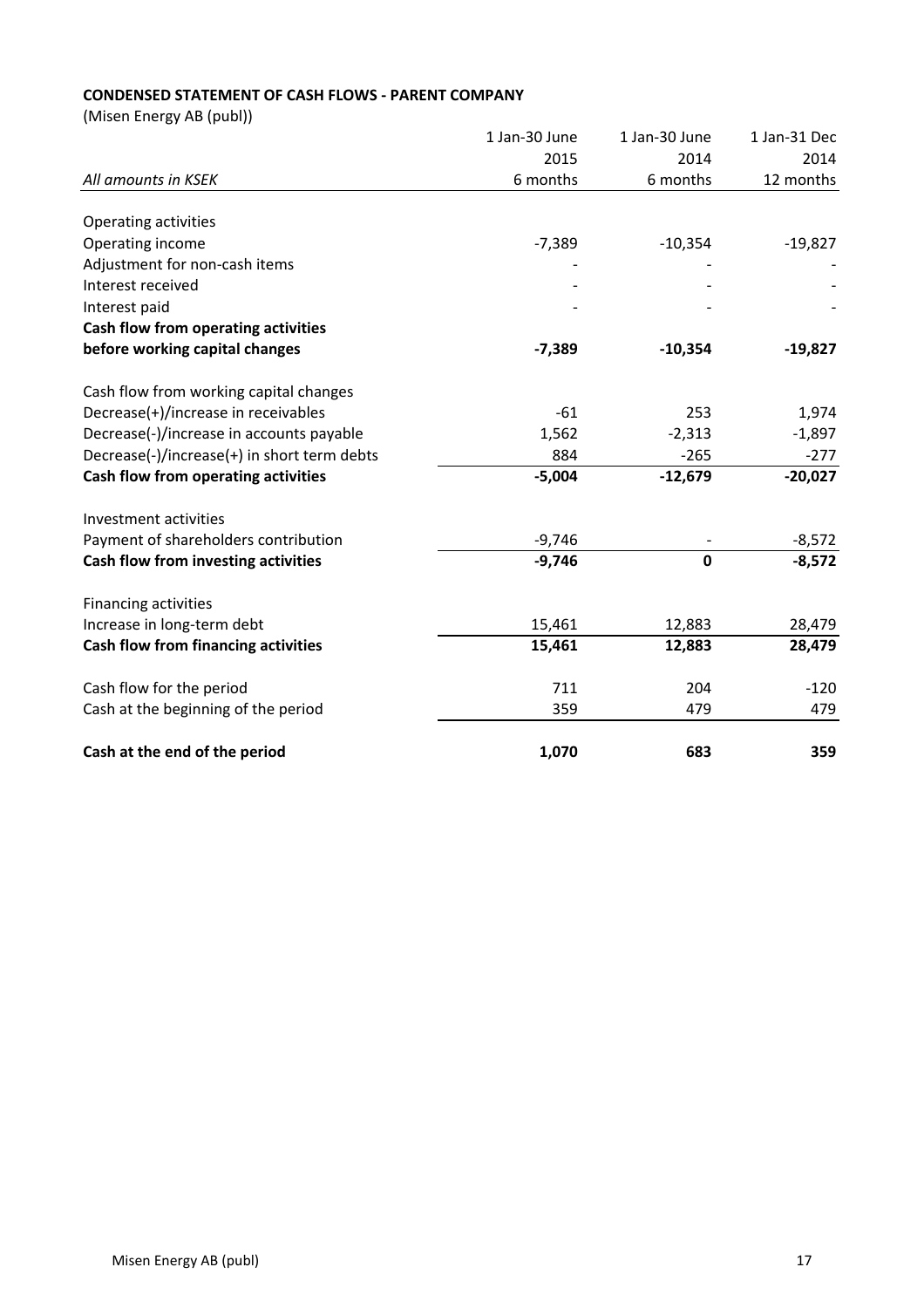## **CONDENSED STATEMENT OF CASH FLOWS - PARENT COMPANY**

(Misen Energy AB (publ))

|                                             | 1 Jan-30 June | 1 Jan-30 June | 1 Jan-31 Dec |
|---------------------------------------------|---------------|---------------|--------------|
|                                             | 2015          | 2014          | 2014         |
| All amounts in KSEK                         | 6 months      | 6 months      | 12 months    |
|                                             |               |               |              |
| Operating activities                        |               |               |              |
| Operating income                            | $-7,389$      | $-10,354$     | $-19,827$    |
| Adjustment for non-cash items               |               |               |              |
| Interest received                           |               |               |              |
| Interest paid                               |               |               |              |
| Cash flow from operating activities         |               |               |              |
| before working capital changes              | $-7,389$      | $-10,354$     | $-19,827$    |
| Cash flow from working capital changes      |               |               |              |
| Decrease(+)/increase in receivables         | $-61$         | 253           | 1,974        |
| Decrease(-)/increase in accounts payable    | 1,562         | $-2,313$      | $-1,897$     |
| Decrease(-)/increase(+) in short term debts | 884           | $-265$        | $-277$       |
| Cash flow from operating activities         | $-5,004$      | $-12,679$     | $-20,027$    |
| Investment activities                       |               |               |              |
| Payment of shareholders contribution        | $-9,746$      |               | $-8,572$     |
| Cash flow from investing activities         | $-9,746$      | $\mathbf 0$   | $-8,572$     |
| Financing activities                        |               |               |              |
| Increase in long-term debt                  | 15,461        | 12,883        | 28,479       |
| Cash flow from financing activities         | 15,461        | 12,883        | 28,479       |
| Cash flow for the period                    | 711           | 204           | $-120$       |
| Cash at the beginning of the period         | 359           | 479           | 479          |
| Cash at the end of the period               | 1,070         | 683           | 359          |